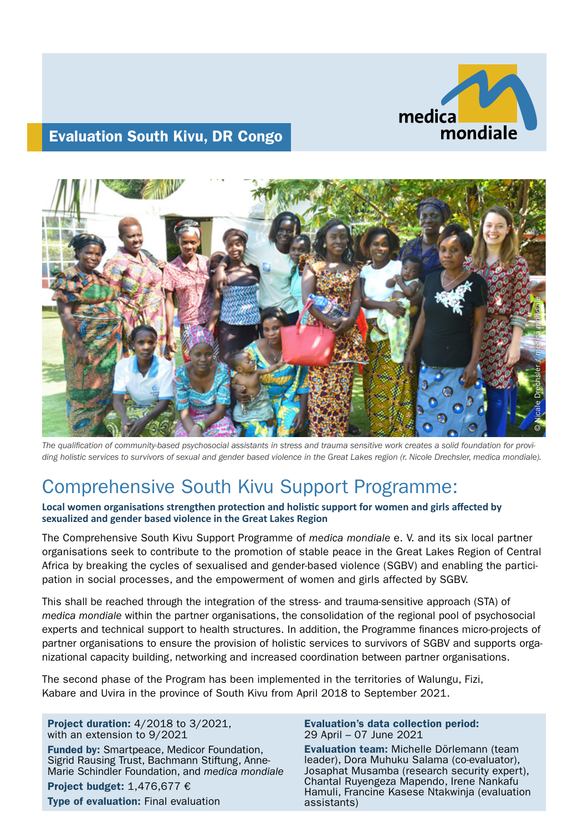

# Evaluation South Kivu, DR Congo



*The qualification of community-based psychosocial assistants in stress and trauma sensitive work creates a solid foundation for providing holistic services to survivors of sexual and gender based violence in the Great Lakes region (r. Nicole Drechsler, medica mondiale).*

# Comprehensive South Kivu Support Programme:

**Local women organisations strengthen protection and holistic support for women and girls affected by sexualized and gender based violence in the Great Lakes Region**

The Comprehensive South Kivu Support Programme of *medica mondiale* e. V. and its six local partner organisations seek to contribute to the promotion of stable peace in the Great Lakes Region of Central Africa by breaking the cycles of sexualised and gender-based violence (SGBV) and enabling the participation in social processes, and the empowerment of women and girls affected by SGBV.

This shall be reached through the integration of the stress- and trauma-sensitive approach (STA) of *medica mondiale* within the partner organisations, the consolidation of the regional pool of psychosocial experts and technical support to health structures. In addition, the Programme finances micro-projects of partner organisations to ensure the provision of holistic services to survivors of SGBV and supports organizational capacity building, networking and increased coordination between partner organisations.

The second phase of the Program has been implemented in the territories of Walungu, Fizi, Kabare and Uvira in the province of South Kivu from April 2018 to September 2021.

Project duration: 4/2018 to 3/2021, with an extension to 9/2021

Funded by: Smartpeace, Medicor Foundation, Sigrid Rausing Trust, Bachmann Stiftung, Anne-Marie Schindler Foundation, and *medica mondiale*

Project budget: 1,476,677 € Type of evaluation: Final evaluation

#### Evaluation's data collection period: 29 April – 07 June 2021

Evaluation team: Michelle Dörlemann (team leader), Dora Muhuku Salama (co-evaluator), Josaphat Musamba (research security expert), Chantal Ruyengeza Mapendo, Irene Nankafu Hamuli, Francine Kasese Ntakwinja (evaluation assistants)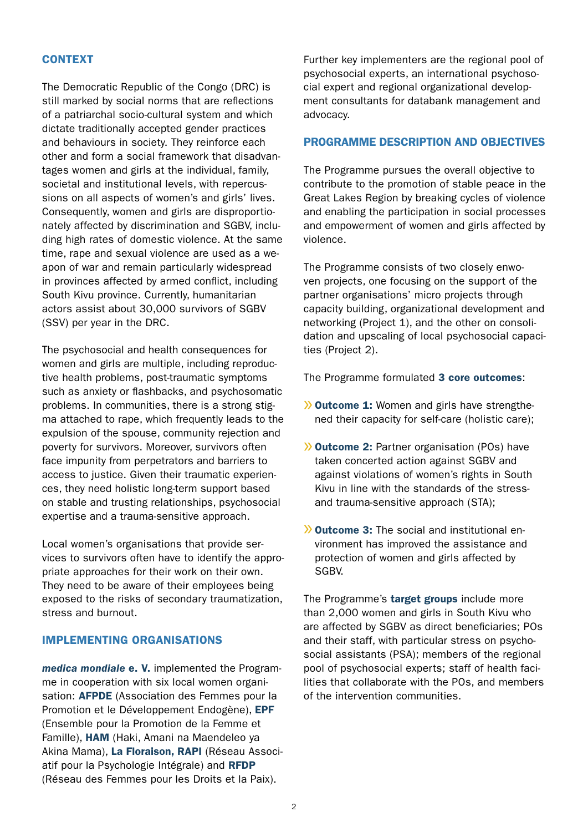## **CONTEXT**

The Democratic Republic of the Congo (DRC) is still marked by social norms that are reflections of a patriarchal socio-cultural system and which dictate traditionally accepted gender practices and behaviours in society. They reinforce each other and form a social framework that disadvantages women and girls at the individual, family, societal and institutional levels, with repercussions on all aspects of women's and girls' lives. Consequently, women and girls are disproportionately affected by discrimination and SGBV, including high rates of domestic violence. At the same time, rape and sexual violence are used as a weapon of war and remain particularly widespread in provinces affected by armed conflict, including South Kivu province. Currently, humanitarian actors assist about 30,000 survivors of SGBV (SSV) per year in the DRC.

The psychosocial and health consequences for women and girls are multiple, including reproductive health problems, post-traumatic symptoms such as anxiety or flashbacks, and psychosomatic problems. In communities, there is a strong stigma attached to rape, which frequently leads to the expulsion of the spouse, community rejection and poverty for survivors. Moreover, survivors often face impunity from perpetrators and barriers to access to justice. Given their traumatic experiences, they need holistic long-term support based on stable and trusting relationships, psychosocial expertise and a trauma-sensitive approach.

Local women's organisations that provide services to survivors often have to identify the appropriate approaches for their work on their own. They need to be aware of their employees being exposed to the risks of secondary traumatization, stress and burnout.

#### IMPLEMENTING ORGANISATIONS

*medica mondiale* e. V. implemented the Programme in cooperation with six local women organisation: **AFPDE** (Association des Femmes pour la Promotion et le Développement Endogène), EPF (Ensemble pour la Promotion de la Femme et Famille), HAM (Haki, Amani na Maendeleo ya Akina Mama), La Floraison, RAPI (Réseau Associatif pour la Psychologie Intégrale) and RFDP (Réseau des Femmes pour les Droits et la Paix).

Further key implementers are the regional pool of psychosocial experts, an international psychosocial expert and regional organizational development consultants for databank management and advocacy.

#### PROGRAMME DESCRIPTION AND OBJECTIVES

The Programme pursues the overall objective to contribute to the promotion of stable peace in the Great Lakes Region by breaking cycles of violence and enabling the participation in social processes and empowerment of women and girls affected by violence.

The Programme consists of two closely enwoven projects, one focusing on the support of the partner organisations' micro projects through capacity building, organizational development and networking (Project 1), and the other on consolidation and upscaling of local psychosocial capacities (Project 2).

The Programme formulated 3 core outcomes:

- » Outcome 1: Women and girls have strengthened their capacity for self-care (holistic care);
- » Outcome 2: Partner organisation (POs) have taken concerted action against SGBV and against violations of women's rights in South Kivu in line with the standards of the stressand trauma-sensitive approach (STA);
- » Outcome 3: The social and institutional environment has improved the assistance and protection of women and girls affected by SGBV.

The Programme's target groups include more than 2,000 women and girls in South Kivu who are affected by SGBV as direct beneficiaries; POs and their staff, with particular stress on psychosocial assistants (PSA); members of the regional pool of psychosocial experts; staff of health facilities that collaborate with the POs, and members of the intervention communities.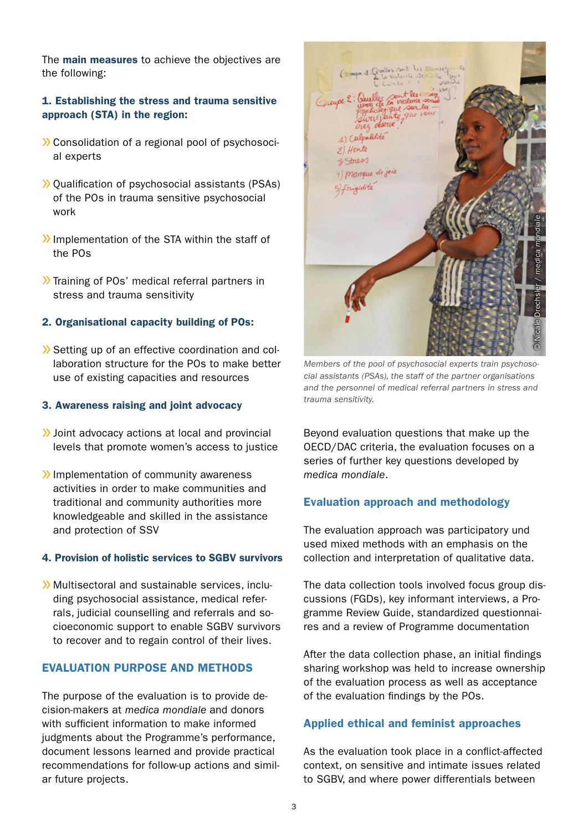The main measures to achieve the objectives are the following:

## 1. Establishing the stress and trauma sensitive approach (STA) in the region:

- » Consolidation of a regional pool of psychosocial experts
- » Qualification of psychosocial assistants (PSAs) of the POs in trauma sensitive psychosocial work
- »Implementation of the STA within the staff of the POs
- » Training of POs' medical referral partners in stress and trauma sensitivity

## 2. Organisational capacity building of POs:

» Setting up of an effective coordination and collaboration structure for the POs to make better use of existing capacities and resources

#### 3. Awareness raising and joint advocacy

- »Joint advocacy actions at local and provincial levels that promote women's access to justice
- »Implementation of community awareness activities in order to make communities and traditional and community authorities more knowledgeable and skilled in the assistance and protection of SSV

#### 4. Provision of holistic services to SGBV survivors

» Multisectoral and sustainable services, including psychosocial assistance, medical referrals, judicial counselling and referrals and socioeconomic support to enable SGBV survivors to recover and to regain control of their lives.

## EVALUATION PURPOSE AND METHODS

The purpose of the evaluation is to provide decision-makers at *medica mondiale* and donors with sufficient information to make informed judgments about the Programme's performance, document lessons learned and provide practical recommendations for follow-up actions and similar future projects.



*Members of the pool of psychosocial experts train psychosocial assistants (PSAs), the staff of the partner organisations and the personnel of medical referral partners in stress and trauma sensitivity.*

Beyond evaluation questions that make up the OECD/DAC criteria, the evaluation focuses on a series of further key questions developed by *medica mondiale*.

#### Evaluation approach and methodology

The evaluation approach was participatory und used mixed methods with an emphasis on the collection and interpretation of qualitative data.

The data collection tools involved focus group discussions (FGDs), key informant interviews, a Programme Review Guide, standardized questionnaires and a review of Programme documentation

After the data collection phase, an initial findings sharing workshop was held to increase ownership of the evaluation process as well as acceptance of the evaluation findings by the POs.

#### Applied ethical and feminist approaches

As the evaluation took place in a conflict-affected context, on sensitive and intimate issues related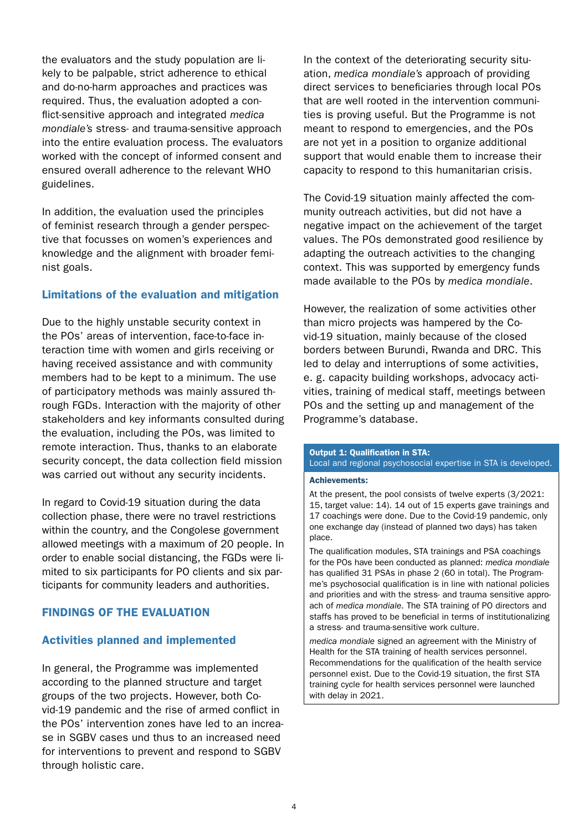the evaluators and the study population are likely to be palpable, strict adherence to ethical and do-no-harm approaches and practices was required. Thus, the evaluation adopted a conflict-sensitive approach and integrated *medica mondiale's* stress- and trauma-sensitive approach into the entire evaluation process. The evaluators worked with the concept of informed consent and ensured overall adherence to the relevant WHO guidelines.

In addition, the evaluation used the principles of feminist research through a gender perspective that focusses on women's experiences and knowledge and the alignment with broader feminist goals.

## Limitations of the evaluation and mitigation

Due to the highly unstable security context in the POs' areas of intervention, face-to-face interaction time with women and girls receiving or having received assistance and with community members had to be kept to a minimum. The use of participatory methods was mainly assured through FGDs. Interaction with the majority of other stakeholders and key informants consulted during the evaluation, including the POs, was limited to remote interaction. Thus, thanks to an elaborate security concept, the data collection field mission was carried out without any security incidents.

In regard to Covid-19 situation during the data collection phase, there were no travel restrictions within the country, and the Congolese government allowed meetings with a maximum of 20 people. In order to enable social distancing, the FGDs were limited to six participants for PO clients and six participants for community leaders and authorities.

## FINDINGS OF THE EVALUATION

## Activities planned and implemented

In general, the Programme was implemented according to the planned structure and target groups of the two projects. However, both Covid-19 pandemic and the rise of armed conflict in the POs' intervention zones have led to an increase in SGBV cases und thus to an increased need for interventions to prevent and respond to SGBV through holistic care.

In the context of the deteriorating security situation, *medica mondiale's* approach of providing direct services to beneficiaries through local POs that are well rooted in the intervention communities is proving useful. But the Programme is not meant to respond to emergencies, and the POs are not yet in a position to organize additional support that would enable them to increase their capacity to respond to this humanitarian crisis.

The Covid-19 situation mainly affected the community outreach activities, but did not have a negative impact on the achievement of the target values. The POs demonstrated good resilience by adapting the outreach activities to the changing context. This was supported by emergency funds made available to the POs by *medica mondiale*.

However, the realization of some activities other than micro projects was hampered by the Covid-19 situation, mainly because of the closed borders between Burundi, Rwanda and DRC. This led to delay and interruptions of some activities, e. g. capacity building workshops, advocacy activities, training of medical staff, meetings between POs and the setting up and management of the Programme's database.

#### Output 1: Qualification in STA: Local and regional psychosocial expertise in STA is developed.

#### Achievements:

At the present, the pool consists of twelve experts (3/2021: 15, target value: 14). 14 out of 15 experts gave trainings and 17 coachings were done. Due to the Covid-19 pandemic, only one exchange day (instead of planned two days) has taken place.

The qualification modules, STA trainings and PSA coachings for the POs have been conducted as planned: *medica mondiale* has qualified 31 PSAs in phase 2 (60 in total). The Programme's psychosocial qualification is in line with national policies and priorities and with the stress- and trauma sensitive approach of *medica mondiale*. The STA training of PO directors and staffs has proved to be beneficial in terms of institutionalizing a stress- and trauma-sensitive work culture.

*medica mondiale* signed an agreement with the Ministry of Health for the STA training of health services personnel. Recommendations for the qualification of the health service personnel exist. Due to the Covid-19 situation, the first STA training cycle for health services personnel were launched with delay in 2021.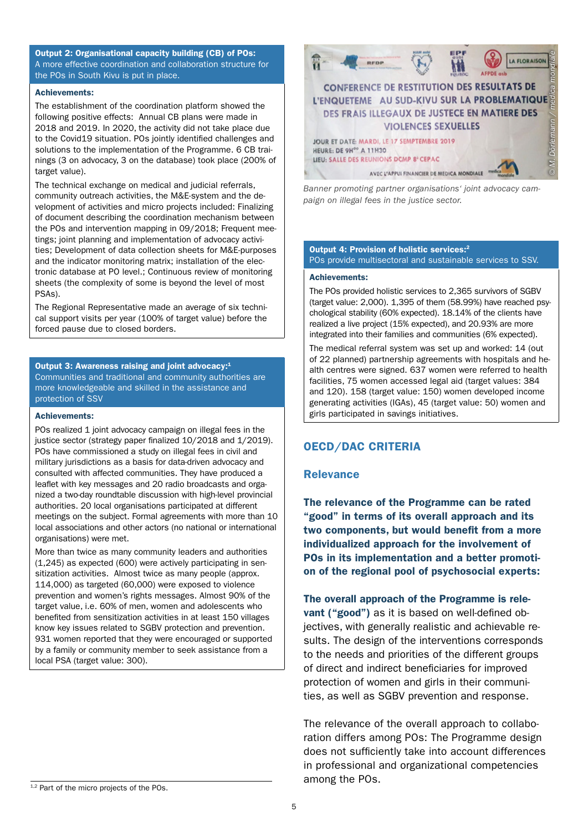Output 2: Organisational capacity building (CB) of POs: A more effective coordination and collaboration structure for the POs in South Kivu is put in place.

#### Achievements:

The establishment of the coordination platform showed the following positive effects: Annual CB plans were made in 2018 and 2019. In 2020, the activity did not take place due to the Covid19 situation. POs jointly identified challenges and solutions to the implementation of the Programme. 6 CB trainings (3 on advocacy, 3 on the database) took place (200% of target value).

The technical exchange on medical and judicial referrals, community outreach activities, the M&E-system and the development of activities and micro projects included: Finalizing of document describing the coordination mechanism between the POs and intervention mapping in 09/2018; Frequent meetings; joint planning and implementation of advocacy activities; Development of data collection sheets for M&E-purposes and the indicator monitoring matrix; installation of the electronic database at PO level.; Continuous review of monitoring sheets (the complexity of some is beyond the level of most PSAs).

The Regional Representative made an average of six technical support visits per year (100% of target value) before the forced pause due to closed borders.

#### Output 3: Awareness raising and joint advocacy:1 Communities and traditional and community authorities are more knowledgeable and skilled in the assistance and protection of SSV

#### Achievements:

POs realized 1 joint advocacy campaign on illegal fees in the justice sector (strategy paper finalized 10/2018 and 1/2019). POs have commissioned a study on illegal fees in civil and military jurisdictions as a basis for data-driven advocacy and consulted with affected communities. They have produced a leaflet with key messages and 20 radio broadcasts and organized a two-day roundtable discussion with high-level provincial authorities. 20 local organisations participated at different meetings on the subject. Formal agreements with more than 10 local associations and other actors (no national or international organisations) were met.

More than twice as many community leaders and authorities (1,245) as expected (600) were actively participating in sensitization activities. Almost twice as many people (approx. 114,000) as targeted (60,000) were exposed to violence prevention and women's rights messages. Almost 90% of the target value, i.e. 60% of men, women and adolescents who benefited from sensitization activities in at least 150 villages know key issues related to SGBV protection and prevention. 931 women reported that they were encouraged or supported by a family or community member to seek assistance from a local PSA (target value: 300).



*Banner promoting partner organisations' joint advocacy campaign on illegal fees in the justice sector.* 

#### Output 4: Provision of holistic services:2 POs provide multisectoral and sustainable services to SSV.

#### Achievements:

The POs provided holistic services to 2,365 survivors of SGBV (target value: 2,000). 1,395 of them (58.99%) have reached psychological stability (60% expected). 18.14% of the clients have realized a live project (15% expected), and 20.93% are more integrated into their families and communities (6% expected).

The medical referral system was set up and worked: 14 (out of 22 planned) partnership agreements with hospitals and health centres were signed. 637 women were referred to health facilities, 75 women accessed legal aid (target values: 384 and 120). 158 (target value: 150) women developed income generating activities (IGAs), 45 (target value: 50) women and girls participated in savings initiatives.

#### OECD/DAC CRITERIA

#### **Relevance**

The relevance of the Programme can be rated "good" in terms of its overall approach and its two components, but would benefit from a more individualized approach for the involvement of POs in its implementation and a better promotion of the regional pool of psychosocial experts:

The overall approach of the Programme is relevant ("good") as it is based on well-defined objectives, with generally realistic and achievable results. The design of the interventions corresponds to the needs and priorities of the different groups of direct and indirect beneficiaries for improved protection of women and girls in their communities, as well as SGBV prevention and response.

The relevance of the overall approach to collaboration differs among POs: The Programme design does not sufficiently take into account differences in professional and organizational competencies among the POs.

<sup>1,2</sup> Part of the micro projects of the POs.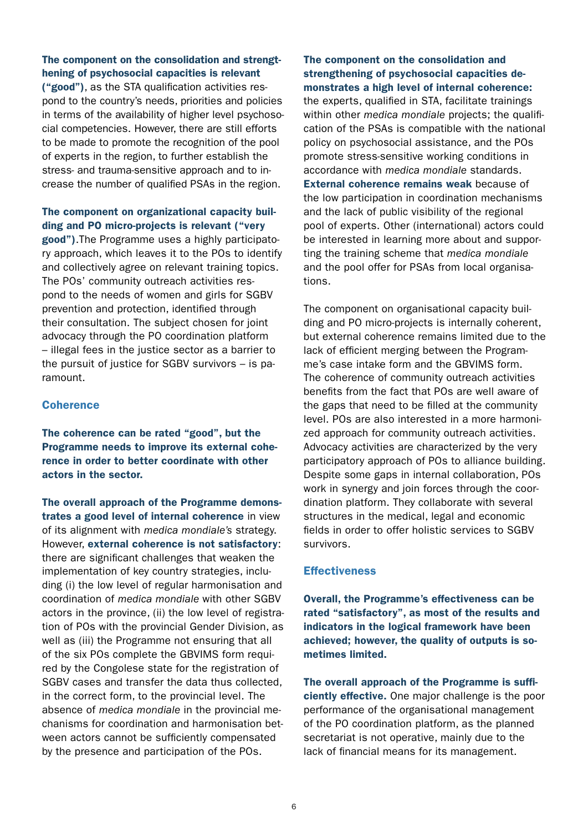## The component on the consolidation and strengthening of psychosocial capacities is relevant

("good"), as the STA qualification activities respond to the country's needs, priorities and policies in terms of the availability of higher level psychosocial competencies. However, there are still efforts to be made to promote the recognition of the pool of experts in the region, to further establish the stress- and trauma-sensitive approach and to increase the number of qualified PSAs in the region.

## The component on organizational capacity building and PO micro-projects is relevant ("very

good").The Programme uses a highly participatory approach, which leaves it to the POs to identify and collectively agree on relevant training topics. The POs' community outreach activities respond to the needs of women and girls for SGBV prevention and protection, identified through their consultation. The subject chosen for joint advocacy through the PO coordination platform – illegal fees in the justice sector as a barrier to the pursuit of justice for SGBV survivors – is paramount.

#### **Coherence**

The coherence can be rated "good", but the Programme needs to improve its external coherence in order to better coordinate with other actors in the sector.

The overall approach of the Programme demonstrates a good level of internal coherence in view of its alignment with *medica mondiale's* strategy. However, external coherence is not satisfactory: there are significant challenges that weaken the implementation of key country strategies, including (i) the low level of regular harmonisation and coordination of *medica mondiale* with other SGBV actors in the province, (ii) the low level of registration of POs with the provincial Gender Division, as well as (iii) the Programme not ensuring that all of the six POs complete the GBVIMS form required by the Congolese state for the registration of SGBV cases and transfer the data thus collected, in the correct form, to the provincial level. The absence of *medica mondiale* in the provincial mechanisms for coordination and harmonisation between actors cannot be sufficiently compensated by the presence and participation of the POs.

## The component on the consolidation and strengthening of psychosocial capacities demonstrates a high level of internal coherence:

the experts, qualified in STA, facilitate trainings within other *medica mondiale* projects; the qualification of the PSAs is compatible with the national policy on psychosocial assistance, and the POs promote stress-sensitive working conditions in accordance with *medica mondiale* standards. External coherence remains weak because of the low participation in coordination mechanisms and the lack of public visibility of the regional pool of experts. Other (international) actors could be interested in learning more about and supporting the training scheme that *medica mondiale* and the pool offer for PSAs from local organisations.

The component on organisational capacity building and PO micro-projects is internally coherent, but external coherence remains limited due to the lack of efficient merging between the Programme's case intake form and the GBVIMS form. The coherence of community outreach activities benefits from the fact that POs are well aware of the gaps that need to be filled at the community level. POs are also interested in a more harmonized approach for community outreach activities. Advocacy activities are characterized by the very participatory approach of POs to alliance building. Despite some gaps in internal collaboration, POs work in synergy and join forces through the coordination platform. They collaborate with several structures in the medical, legal and economic fields in order to offer holistic services to SGBV survivors.

#### **Effectiveness**

Overall, the Programme's effectiveness can be rated "satisfactory", as most of the results and indicators in the logical framework have been achieved; however, the quality of outputs is sometimes limited.

The overall approach of the Programme is sufficiently effective. One major challenge is the poor performance of the organisational management of the PO coordination platform, as the planned secretariat is not operative, mainly due to the lack of financial means for its management.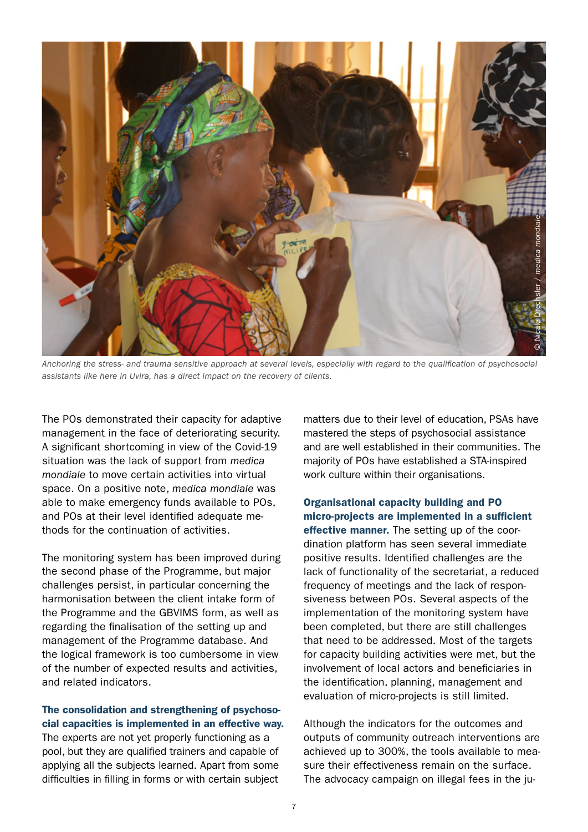

*Anchoring the stress- and trauma sensitive approach at several levels, especially with regard to the qualification of psychosocial assistants like here in Uvira, has a direct impact on the recovery of clients.*

The POs demonstrated their capacity for adaptive management in the face of deteriorating security. A significant shortcoming in view of the Covid-19 situation was the lack of support from *medica mondiale* to move certain activities into virtual space. On a positive note, *medica mondiale* was able to make emergency funds available to POs, and POs at their level identified adequate methods for the continuation of activities.

The monitoring system has been improved during the second phase of the Programme, but major challenges persist, in particular concerning the harmonisation between the client intake form of the Programme and the GBVIMS form, as well as regarding the finalisation of the setting up and management of the Programme database. And the logical framework is too cumbersome in view of the number of expected results and activities, and related indicators.

The consolidation and strengthening of psychosocial capacities is implemented in an effective way. The experts are not yet properly functioning as a pool, but they are qualified trainers and capable of applying all the subjects learned. Apart from some difficulties in filling in forms or with certain subject

matters due to their level of education, PSAs have mastered the steps of psychosocial assistance and are well established in their communities. The majority of POs have established a STA-inspired work culture within their organisations.

Organisational capacity building and PO micro-projects are implemented in a sufficient effective manner. The setting up of the coordination platform has seen several immediate positive results. Identified challenges are the lack of functionality of the secretariat, a reduced frequency of meetings and the lack of responsiveness between POs. Several aspects of the implementation of the monitoring system have been completed, but there are still challenges that need to be addressed. Most of the targets for capacity building activities were met, but the involvement of local actors and beneficiaries in the identification, planning, management and evaluation of micro-projects is still limited.

Although the indicators for the outcomes and outputs of community outreach interventions are achieved up to 300%, the tools available to measure their effectiveness remain on the surface. The advocacy campaign on illegal fees in the ju-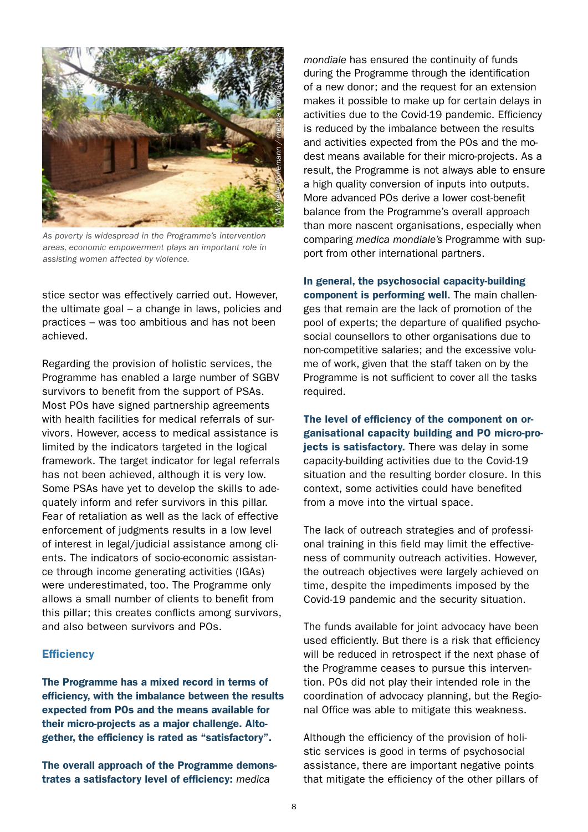

*As poverty is widespread in the Programme's intervention areas, economic empowerment plays an important role in assisting women affected by violence.* 

stice sector was effectively carried out. However, the ultimate goal – a change in laws, policies and practices – was too ambitious and has not been achieved.

Regarding the provision of holistic services, the Programme has enabled a large number of SGBV survivors to benefit from the support of PSAs. Most POs have signed partnership agreements with health facilities for medical referrals of survivors. However, access to medical assistance is limited by the indicators targeted in the logical framework. The target indicator for legal referrals has not been achieved, although it is very low. Some PSAs have yet to develop the skills to adequately inform and refer survivors in this pillar. Fear of retaliation as well as the lack of effective enforcement of judgments results in a low level of interest in legal/judicial assistance among clients. The indicators of socio-economic assistance through income generating activities (IGAs) were underestimated, too. The Programme only allows a small number of clients to benefit from this pillar; this creates conflicts among survivors, and also between survivors and POs.

#### **Efficiency**

The Programme has a mixed record in terms of efficiency, with the imbalance between the results expected from POs and the means available for their micro-projects as a major challenge. Altogether, the efficiency is rated as "satisfactory".

The overall approach of the Programme demonstrates a satisfactory level of efficiency: *medica* 

*mondiale* has ensured the continuity of funds during the Programme through the identification of a new donor; and the request for an extension makes it possible to make up for certain delays in activities due to the Covid-19 pandemic. Efficiency is reduced by the imbalance between the results and activities expected from the POs and the modest means available for their micro-projects. As a result, the Programme is not always able to ensure a high quality conversion of inputs into outputs. More advanced POs derive a lower cost-benefit balance from the Programme's overall approach than more nascent organisations, especially when comparing *medica mondiale's* Programme with support from other international partners.

In general, the psychosocial capacity-building component is performing well. The main challenges that remain are the lack of promotion of the pool of experts; the departure of qualified psychosocial counsellors to other organisations due to non-competitive salaries; and the excessive volume of work, given that the staff taken on by the Programme is not sufficient to cover all the tasks required.

The level of efficiency of the component on organisational capacity building and PO micro-projects is satisfactory. There was delay in some capacity-building activities due to the Covid-19 situation and the resulting border closure. In this context, some activities could have benefited from a move into the virtual space.

The lack of outreach strategies and of professional training in this field may limit the effectiveness of community outreach activities. However, the outreach objectives were largely achieved on time, despite the impediments imposed by the Covid-19 pandemic and the security situation.

The funds available for joint advocacy have been used efficiently. But there is a risk that efficiency will be reduced in retrospect if the next phase of the Programme ceases to pursue this intervention. POs did not play their intended role in the coordination of advocacy planning, but the Regional Office was able to mitigate this weakness.

Although the efficiency of the provision of holistic services is good in terms of psychosocial assistance, there are important negative points that mitigate the efficiency of the other pillars of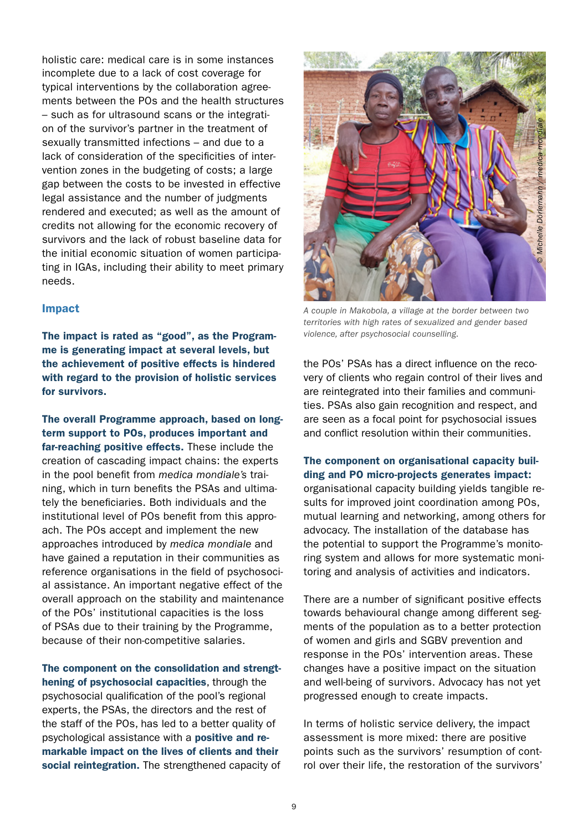holistic care: medical care is in some instances incomplete due to a lack of cost coverage for typical interventions by the collaboration agreements between the POs and the health structures – such as for ultrasound scans or the integration of the survivor's partner in the treatment of sexually transmitted infections – and due to a lack of consideration of the specificities of intervention zones in the budgeting of costs; a large gap between the costs to be invested in effective legal assistance and the number of judgments rendered and executed; as well as the amount of credits not allowing for the economic recovery of survivors and the lack of robust baseline data for the initial economic situation of women participating in IGAs, including their ability to meet primary needs.

#### Impact

The impact is rated as "good", as the Programme is generating impact at several levels, but the achievement of positive effects is hindered with regard to the provision of holistic services for survivors.

The overall Programme approach, based on longterm support to POs, produces important and far-reaching positive effects. These include the creation of cascading impact chains: the experts in the pool benefit from *medica mondiale's* training, which in turn benefits the PSAs and ultimately the beneficiaries. Both individuals and the institutional level of POs benefit from this approach. The POs accept and implement the new approaches introduced by *medica mondiale* and have gained a reputation in their communities as reference organisations in the field of psychosocial assistance. An important negative effect of the overall approach on the stability and maintenance of the POs' institutional capacities is the loss of PSAs due to their training by the Programme, because of their non-competitive salaries.

The component on the consolidation and strengthening of psychosocial capacities, through the psychosocial qualification of the pool's regional experts, the PSAs, the directors and the rest of the staff of the POs, has led to a better quality of psychological assistance with a positive and remarkable impact on the lives of clients and their social reintegration. The strengthened capacity of



*A couple in Makobola, a village at the border between two territories with high rates of sexualized and gender based violence, after psychosocial counselling.* 

the POs' PSAs has a direct influence on the recovery of clients who regain control of their lives and are reintegrated into their families and communities. PSAs also gain recognition and respect, and are seen as a focal point for psychosocial issues and conflict resolution within their communities.

The component on organisational capacity building and PO micro-projects generates impact: organisational capacity building yields tangible results for improved joint coordination among POs, mutual learning and networking, among others for advocacy. The installation of the database has the potential to support the Programme's monitoring system and allows for more systematic monitoring and analysis of activities and indicators.

There are a number of significant positive effects towards behavioural change among different segments of the population as to a better protection of women and girls and SGBV prevention and response in the POs' intervention areas. These changes have a positive impact on the situation and well-being of survivors. Advocacy has not yet progressed enough to create impacts.

In terms of holistic service delivery, the impact assessment is more mixed: there are positive points such as the survivors' resumption of control over their life, the restoration of the survivors'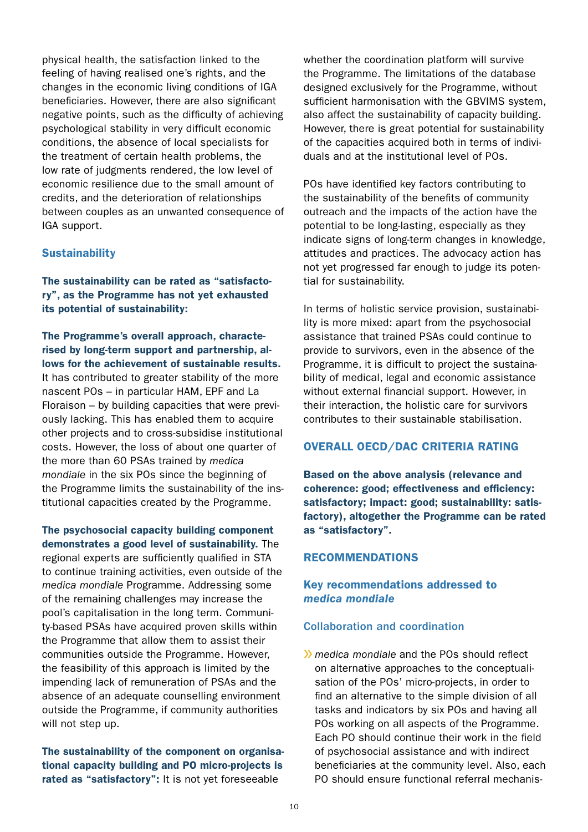physical health, the satisfaction linked to the feeling of having realised one's rights, and the changes in the economic living conditions of IGA beneficiaries. However, there are also significant negative points, such as the difficulty of achieving psychological stability in very difficult economic conditions, the absence of local specialists for the treatment of certain health problems, the low rate of judgments rendered, the low level of economic resilience due to the small amount of credits, and the deterioration of relationships between couples as an unwanted consequence of IGA support.

#### **Sustainability**

The sustainability can be rated as "satisfactory", as the Programme has not yet exhausted its potential of sustainability:

The Programme's overall approach, characterised by long-term support and partnership, allows for the achievement of sustainable results. It has contributed to greater stability of the more nascent POs – in particular HAM, EPF and La Floraison – by building capacities that were previously lacking. This has enabled them to acquire other projects and to cross-subsidise institutional costs. However, the loss of about one quarter of the more than 60 PSAs trained by *medica mondiale* in the six POs since the beginning of the Programme limits the sustainability of the institutional capacities created by the Programme.

The psychosocial capacity building component demonstrates a good level of sustainability. The regional experts are sufficiently qualified in STA to continue training activities, even outside of the *medica mondiale* Programme. Addressing some of the remaining challenges may increase the pool's capitalisation in the long term. Community-based PSAs have acquired proven skills within the Programme that allow them to assist their communities outside the Programme. However, the feasibility of this approach is limited by the impending lack of remuneration of PSAs and the absence of an adequate counselling environment outside the Programme, if community authorities will not step up.

The sustainability of the component on organisational capacity building and PO micro-projects is rated as "satisfactory": It is not yet foreseeable

whether the coordination platform will survive the Programme. The limitations of the database designed exclusively for the Programme, without sufficient harmonisation with the GBVIMS system, also affect the sustainability of capacity building. However, there is great potential for sustainability of the capacities acquired both in terms of individuals and at the institutional level of POs.

POs have identified key factors contributing to the sustainability of the benefits of community outreach and the impacts of the action have the potential to be long-lasting, especially as they indicate signs of long-term changes in knowledge, attitudes and practices. The advocacy action has not yet progressed far enough to judge its potential for sustainability.

In terms of holistic service provision, sustainability is more mixed: apart from the psychosocial assistance that trained PSAs could continue to provide to survivors, even in the absence of the Programme, it is difficult to project the sustainability of medical, legal and economic assistance without external financial support. However, in their interaction, the holistic care for survivors contributes to their sustainable stabilisation.

## OVERALL OECD/DAC CRITERIA RATING

Based on the above analysis (relevance and coherence: good; effectiveness and efficiency: satisfactory; impact: good; sustainability: satisfactory), altogether the Programme can be rated as "satisfactory".

## RECOMMENDATIONS

## Key recommendations addressed to *medica mondiale*

#### Collaboration and coordination

» *medica mondiale* and the POs should reflect on alternative approaches to the conceptualisation of the POs' micro-projects, in order to find an alternative to the simple division of all tasks and indicators by six POs and having all POs working on all aspects of the Programme. Each PO should continue their work in the field of psychosocial assistance and with indirect beneficiaries at the community level. Also, each PO should ensure functional referral mechanis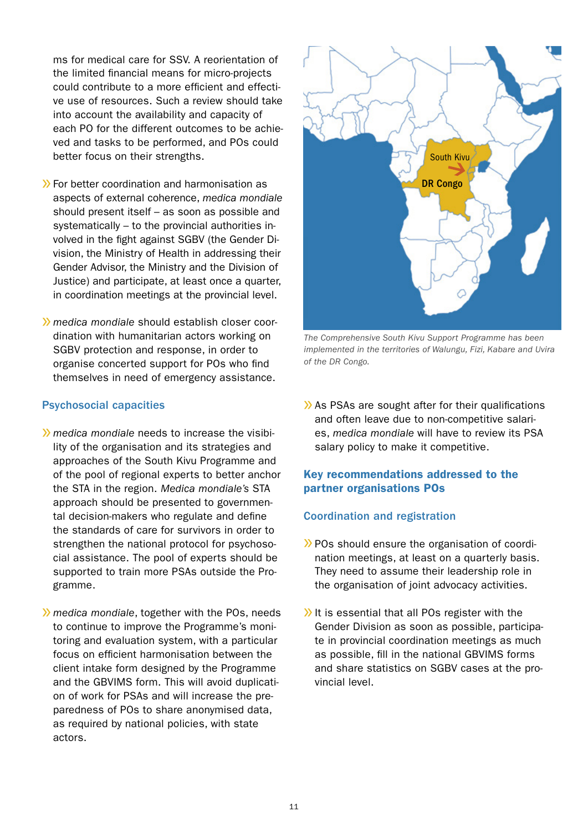ms for medical care for SSV. A reorientation of the limited financial means for micro-projects could contribute to a more efficient and effective use of resources. Such a review should take into account the availability and capacity of each PO for the different outcomes to be achieved and tasks to be performed, and POs could better focus on their strengths.

- » For better coordination and harmonisation as aspects of external coherence, *medica mondiale*  should present itself – as soon as possible and systematically – to the provincial authorities involved in the fight against SGBV (the Gender Division, the Ministry of Health in addressing their Gender Advisor, the Ministry and the Division of Justice) and participate, at least once a quarter, in coordination meetings at the provincial level.
- » *medica mondiale* should establish closer coordination with humanitarian actors working on SGBV protection and response, in order to organise concerted support for POs who find themselves in need of emergency assistance.

## Psychosocial capacities

- » *medica mondiale* needs to increase the visibility of the organisation and its strategies and approaches of the South Kivu Programme and of the pool of regional experts to better anchor the STA in the region. *Medica mondiale's* STA approach should be presented to governmental decision-makers who regulate and define the standards of care for survivors in order to strengthen the national protocol for psychosocial assistance. The pool of experts should be supported to train more PSAs outside the Programme.
- » *medica mondiale*, together with the POs, needs to continue to improve the Programme's monitoring and evaluation system, with a particular focus on efficient harmonisation between the client intake form designed by the Programme and the GBVIMS form. This will avoid duplication of work for PSAs and will increase the preparedness of POs to share anonymised data, as required by national policies, with state actors.



*The Comprehensive South Kivu Support Programme has been implemented in the territories of Walungu, Fizi, Kabare and Uvira of the DR Congo.*

» As PSAs are sought after for their qualifications and often leave due to non-competitive salaries, *medica mondiale* will have to review its PSA salary policy to make it competitive.

## Key recommendations addressed to the partner organisations POs

#### Coordination and registration

- » POs should ensure the organisation of coordination meetings, at least on a quarterly basis. They need to assume their leadership role in the organisation of joint advocacy activities.
- »It is essential that all POs register with the Gender Division as soon as possible, participate in provincial coordination meetings as much as possible, fill in the national GBVIMS forms and share statistics on SGBV cases at the provincial level.